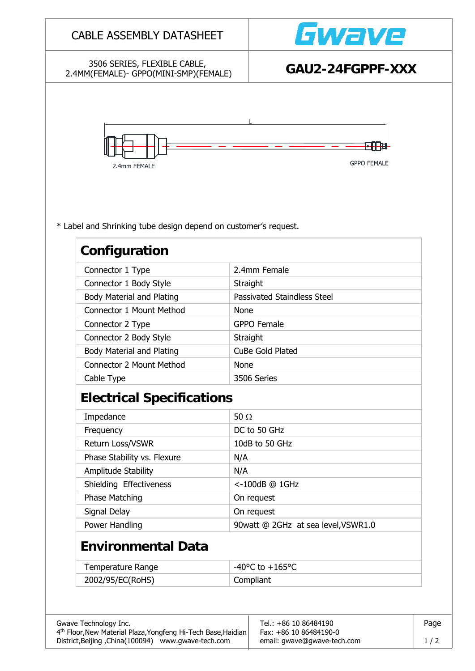|                                                                                  |                                     | Gwave                               |  |  |
|----------------------------------------------------------------------------------|-------------------------------------|-------------------------------------|--|--|
| 3506 SERIES, FLEXIBLE CABLE,<br>2.4MM(FEMALE)- GPPO(MINI-SMP)(FEMALE)            |                                     | GAU2-24FGPPF-XXX                    |  |  |
| 2.4mm FEMALE                                                                     |                                     | H.<br><b>GPPO FEMALE</b>            |  |  |
| * Label and Shrinking tube design depend on customer's request.<br>Configuration |                                     |                                     |  |  |
| Connector 1 Type                                                                 | 2.4mm Female                        |                                     |  |  |
| Connector 1 Body Style                                                           | Straight                            |                                     |  |  |
| <b>Body Material and Plating</b>                                                 |                                     | <b>Passivated Staindless Steel</b>  |  |  |
| <b>Connector 1 Mount Method</b>                                                  | <b>None</b>                         |                                     |  |  |
| Connector 2 Type                                                                 | <b>GPPO Female</b>                  |                                     |  |  |
| Connector 2 Body Style                                                           | Straight                            |                                     |  |  |
| <b>Body Material and Plating</b>                                                 | CuBe Gold Plated                    |                                     |  |  |
| <b>Connector 2 Mount Method</b>                                                  | None                                |                                     |  |  |
| Cable Type                                                                       | 3506 Series                         |                                     |  |  |
| <b>Electrical Specifications</b>                                                 |                                     |                                     |  |  |
| Impedance                                                                        | 50 $\Omega$                         |                                     |  |  |
|                                                                                  | DC to 50 GHz                        |                                     |  |  |
| Frequency                                                                        |                                     |                                     |  |  |
| Return Loss/VSWR                                                                 | 10dB to 50 GHz                      |                                     |  |  |
| Phase Stability vs. Flexure                                                      | N/A                                 |                                     |  |  |
| Amplitude Stability                                                              | N/A                                 |                                     |  |  |
| Shielding Effectiveness                                                          | <-100dB @ 1GHz                      |                                     |  |  |
| Phase Matching                                                                   | On request                          |                                     |  |  |
| Signal Delay                                                                     | On request                          |                                     |  |  |
| Power Handling                                                                   |                                     | 90watt @ 2GHz at sea level, VSWR1.0 |  |  |
| <b>Environmental Data</b>                                                        |                                     |                                     |  |  |
| Temperature Range                                                                | $-40^{\circ}$ C to $+165^{\circ}$ C |                                     |  |  |